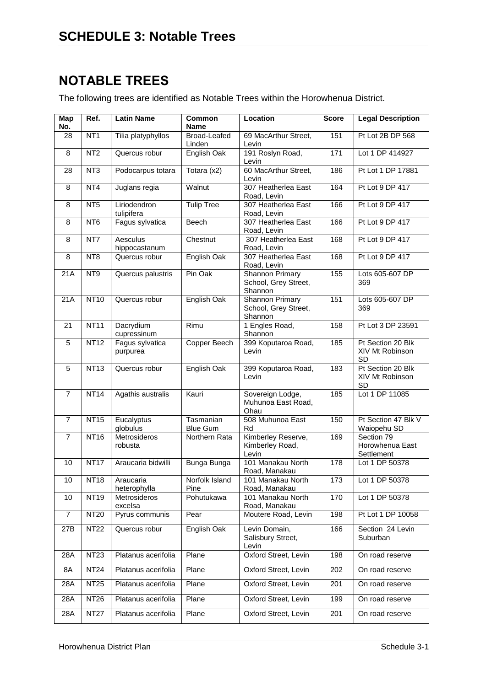## **NOTABLE TREES**

The following trees are identified as Notable Trees within the Horowhenua District.

| Map<br>No.     | Ref.            | <b>Latin Name</b>           | <b>Common</b><br><b>Name</b> | <b>Score</b><br>Location                                  |     | <b>Legal Description</b>                          |  |
|----------------|-----------------|-----------------------------|------------------------------|-----------------------------------------------------------|-----|---------------------------------------------------|--|
| 28             | NT <sub>1</sub> | Tilia platyphyllos          | Broad-Leafed<br>Linden       | 69 MacArthur Street,<br>Levin                             | 151 | Pt Lot 2B DP 568                                  |  |
| 8              | NT <sub>2</sub> | Quercus robur               | English Oak                  | 191 Roslyn Road,<br>Levin                                 | 171 | Lot 1 DP 414927                                   |  |
| 28             | NT <sub>3</sub> | Podocarpus totara           | Totara $(x2)$                | 60 MacArthur Street,<br>Levin                             | 186 | Pt Lot 1 DP 17881                                 |  |
| 8              | NT4             | Juglans regia               | Walnut                       | 307 Heatherlea East<br>Road, Levin                        | 164 | Pt Lot 9 DP 417                                   |  |
| 8              | NT <sub>5</sub> | Liriodendron<br>tulipifera  | <b>Tulip Tree</b>            | 307 Heatherlea East<br>Road, Levin                        | 166 | Pt Lot 9 DP 417                                   |  |
| 8              | NT <sub>6</sub> | Fagus sylvatica             | <b>Beech</b>                 | 307 Heatherlea East<br>Road, Levin                        | 166 | Pt Lot 9 DP 417                                   |  |
| 8              | NT7             | Aesculus<br>hippocastanum   | Chestnut                     | 307 Heatherlea East<br>Road, Levin                        | 168 | Pt Lot 9 DP 417                                   |  |
| 8              | NT8             | Quercus robur               | English Oak                  | 307 Heatherlea East<br>Road, Levin                        | 168 | Pt Lot 9 DP 417                                   |  |
| 21A            | NT9             | Quercus palustris           | Pin Oak                      | Shannon Primary<br>School, Grey Street,<br>Shannon        | 155 | Lots 605-607 DP<br>369                            |  |
| 21A            | <b>NT10</b>     | Quercus robur               | English Oak                  | <b>Shannon Primary</b><br>School, Grey Street,<br>Shannon | 151 | Lots 605-607 DP<br>369                            |  |
| 21             | <b>NT11</b>     | Dacrydium<br>cupressinum    | Rimu                         | 1 Engles Road,<br>Shannon                                 | 158 | Pt Lot 3 DP 23591                                 |  |
| 5              | <b>NT12</b>     | Fagus sylvatica<br>purpurea | Copper Beech                 | 399 Koputaroa Road,<br>Levin                              | 185 | Pt Section 20 Blk<br>XIV Mt Robinson<br><b>SD</b> |  |
| 5              | <b>NT13</b>     | Quercus robur               | English Oak                  | 399 Koputaroa Road,<br>Levin                              | 183 | Pt Section 20 Blk<br>XIV Mt Robinson<br><b>SD</b> |  |
| $\overline{7}$ | <b>NT14</b>     | Agathis australis           | Kauri                        | Sovereign Lodge,<br>Muhunoa East Road,<br>Ohau            | 185 | Lot 1 DP 11085                                    |  |
| $\overline{7}$ | <b>NT15</b>     | Eucalyptus<br>globulus      | Tasmanian<br><b>Blue Gum</b> | 508 Muhunoa East<br>Rd                                    | 150 | Pt Section 47 Blk V<br>Waiopehu SD                |  |
| $\overline{7}$ | <b>NT16</b>     | Metrosideros<br>robusta     | Northern Rata                | Kimberley Reserve,<br>Kimberley Road,<br>Levin            | 169 | Section 79<br>Horowhenua East<br>Settlement       |  |
| 10             | <b>NT17</b>     | Araucaria bidwilli          | Bunga Bunga                  | 101 Manakau North<br>Road, Manakau                        | 178 | Lot 1 DP 50378                                    |  |
| 10             | <b>NT18</b>     | Araucaria<br>heterophylla   | Norfolk Island<br>Pine       | 101 Manakau North<br>Road, Manakau                        | 173 | Lot 1 DP 50378                                    |  |
| 10             | <b>NT19</b>     | Metrosideros<br>excelsa     | Pohutukawa                   | 101 Manakau North<br>Road, Manakau                        | 170 | Lot 1 DP 50378                                    |  |
| $\overline{7}$ | <b>NT20</b>     | Pyrus communis              | Pear                         | Moutere Road, Levin                                       | 198 | Pt Lot 1 DP 10058                                 |  |
| 27B            | <b>NT22</b>     | Quercus robur               | English Oak                  | Levin Domain,<br>Salisbury Street,<br>Levin               | 166 | Section 24 Levin<br>Suburban                      |  |
| 28A            | <b>NT23</b>     | Platanus acerifolia         | Plane                        | Oxford Street, Levin                                      | 198 | On road reserve                                   |  |
| 8A             | <b>NT24</b>     | Platanus acerifolia         | Plane                        | Oxford Street, Levin                                      | 202 | On road reserve                                   |  |
| 28A            | <b>NT25</b>     | Platanus acerifolia         | Plane                        | Oxford Street, Levin                                      | 201 | On road reserve                                   |  |
| 28A            | <b>NT26</b>     | Platanus acerifolia         | Plane                        | Oxford Street, Levin                                      | 199 | On road reserve                                   |  |
| 28A            | <b>NT27</b>     | Platanus acerifolia         | Plane                        | Oxford Street, Levin                                      | 201 | On road reserve                                   |  |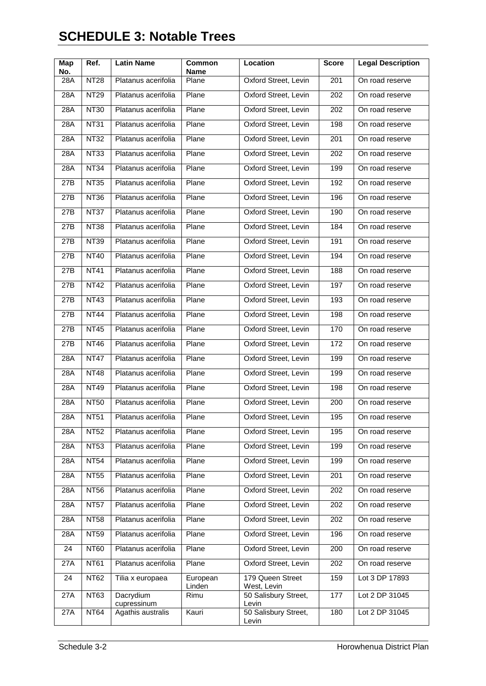# **SCHEDULE 3: Notable Trees**

| Map<br>No. | Ref.        | <b>Latin Name</b>                | <b>Common</b><br><b>Name</b> | Location                               | <b>Score</b> | <b>Legal Description</b> |
|------------|-------------|----------------------------------|------------------------------|----------------------------------------|--------------|--------------------------|
| 28A        | <b>NT28</b> | Platanus acerifolia              | Plane                        | Oxford Street, Levin                   | 201          | On road reserve          |
| 28A        | <b>NT29</b> | Platanus acerifolia              | Plane                        | Oxford Street, Levin                   | 202          | On road reserve          |
| 28A        | <b>NT30</b> | Platanus acerifolia              | Plane                        | Oxford Street, Levin                   | 202          | On road reserve          |
| 28A        | <b>NT31</b> | Platanus acerifolia              | Plane                        | Oxford Street, Levin                   | 198          | On road reserve          |
| 28A        | <b>NT32</b> | Platanus acerifolia              | Plane                        | Oxford Street, Levin                   | 201          | On road reserve          |
| 28A        | <b>NT33</b> | Platanus acerifolia              | Plane                        | Oxford Street, Levin                   | 202          | On road reserve          |
| 28A        | <b>NT34</b> | Platanus acerifolia              | Plane                        | Oxford Street, Levin                   | 199          | On road reserve          |
| 27B        | <b>NT35</b> | Platanus acerifolia              | Plane                        | Oxford Street, Levin                   | 192          | On road reserve          |
| 27B        | <b>NT36</b> | Platanus acerifolia              | Plane                        | Oxford Street, Levin                   | 196          | On road reserve          |
| 27B        | <b>NT37</b> | Platanus acerifolia              | Plane                        | Oxford Street, Levin                   | 190          | On road reserve          |
| 27B        | <b>NT38</b> | Platanus acerifolia              | Plane                        | Oxford Street, Levin                   | 184          | On road reserve          |
| 27B        | <b>NT39</b> | Platanus acerifolia              | Plane                        | Oxford Street, Levin                   | 191          | On road reserve          |
| 27B        | <b>NT40</b> | Platanus acerifolia              | Plane                        | Oxford Street, Levin                   | 194          | On road reserve          |
| 27B        | <b>NT41</b> | Platanus acerifolia              | Plane                        | Oxford Street, Levin                   | 188          | On road reserve          |
| 27B        | <b>NT42</b> | Platanus acerifolia              | Plane                        | Oxford Street, Levin                   | 197          | On road reserve          |
| 27B        | <b>NT43</b> | Platanus acerifolia              | Plane                        | Oxford Street, Levin                   | 193          | On road reserve          |
| 27B        | <b>NT44</b> | Platanus acerifolia              | Plane                        | Oxford Street, Levin                   | 198          | On road reserve          |
| 27B        | <b>NT45</b> | Platanus acerifolia              | Plane                        | Oxford Street, Levin                   | 170          | On road reserve          |
| 27B        | <b>NT46</b> | Platanus acerifolia              | Plane                        | Oxford Street, Levin                   | 172          | On road reserve          |
| 28A        | <b>NT47</b> | Platanus acerifolia              | Plane                        | Oxford Street, Levin                   | 199          | On road reserve          |
| 28A        | <b>NT48</b> | Platanus acerifolia              | Plane                        | Oxford Street, Levin                   | 199          | On road reserve          |
| 28A        | <b>NT49</b> | Platanus acerifolia              | Plane                        | Oxford Street, Levin                   | 198          | On road reserve          |
| 28A        | <b>NT50</b> | Platanus acerifolia              | Plane                        | Oxford Street, Levin                   | 200          | On road reserve          |
| 28A        | <b>NT51</b> | Platanus acerifolia              | Plane                        | Oxford Street, Levin                   | 195          | On road reserve          |
| 28A        | <b>NT52</b> | Platanus acerifolia              | Plane                        | Oxford Street, Levin                   | 195          | On road reserve          |
| 28A        | <b>NT53</b> | Platanus acerifolia              | Plane                        | Oxford Street, Levin                   | 199          | On road reserve          |
| 28A        | <b>NT54</b> | Platanus acerifolia              | Plane                        | Oxford Street, Levin                   | 199          | On road reserve          |
| 28A        | <b>NT55</b> | Platanus acerifolia              | Plane                        | Oxford Street, Levin                   | 201          | On road reserve          |
| 28A        | <b>NT56</b> | Platanus acerifolia              | Plane                        | Oxford Street, Levin                   | 202          | On road reserve          |
| 28A        | <b>NT57</b> | Platanus acerifolia              | Plane                        | Oxford Street, Levin                   | 202          | On road reserve          |
| 28A        | <b>NT58</b> | Platanus acerifolia              | Plane                        | Oxford Street, Levin                   | 202          | On road reserve          |
| 28A        | <b>NT59</b> | Platanus acerifolia              | Plane                        | Oxford Street, Levin                   | 196          | On road reserve          |
| 24         | <b>NT60</b> | Platanus acerifolia              | Plane                        | Oxford Street, Levin                   | 200          | On road reserve          |
| 27A        | <b>NT61</b> | Platanus acerifolia              | Plane                        | Oxford Street, Levin                   | 202          | On road reserve          |
| 24         | <b>NT62</b> | Tilia x europaea                 | European<br>Linden           | 179 Queen Street<br>West, Levin        | 159          | Lot 3 DP 17893           |
| 27A        | <b>NT63</b> | Dacrydium                        | Rimu                         | 50 Salisbury Street,                   | 177          | Lot 2 DP 31045           |
| 27A        | <b>NT64</b> | cupressinum<br>Agathis australis | Kauri                        | Levin<br>50 Salisbury Street,<br>Levin | 180          | Lot 2 DP 31045           |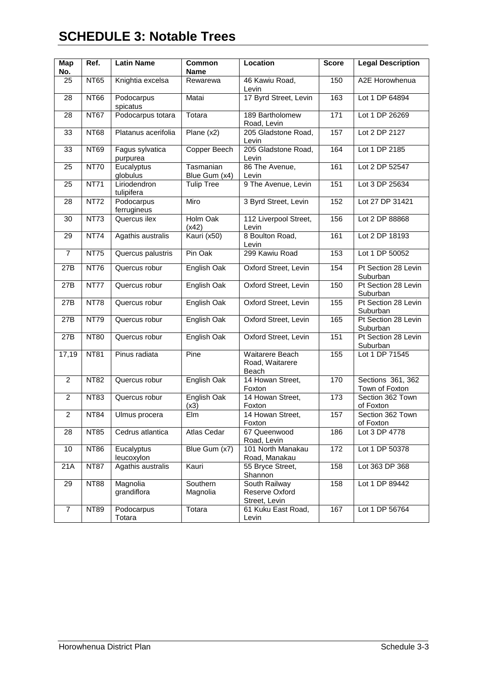# **SCHEDULE 3: Notable Trees**

| Map            | Ref.        | <b>Latin Name</b>           | Common                     | <b>Location</b>                                  | <b>Score</b>    | <b>Legal Description</b>            |  |
|----------------|-------------|-----------------------------|----------------------------|--------------------------------------------------|-----------------|-------------------------------------|--|
| No.            |             |                             | <b>Name</b>                |                                                  |                 |                                     |  |
| 25             | <b>NT65</b> | Knightia excelsa            | Rewarewa                   | 46 Kawiu Road,<br>Levin                          | 150             | A2E Horowhenua                      |  |
| 28             | <b>NT66</b> | Podocarpus<br>spicatus      | Matai                      | 17 Byrd Street, Levin                            | 163             | Lot 1 DP 64894                      |  |
| 28             | <b>NT67</b> | Podocarpus totara           | Totara                     | 189 Bartholomew<br>Road, Levin                   | $\frac{1}{171}$ | Lot 1 DP 26269                      |  |
| 33             | <b>NT68</b> | Platanus acerifolia         | Plane $(x2)$               | 205 Gladstone Road,<br>Levin                     | 157             | Lot 2 DP 2127                       |  |
| 33             | <b>NT69</b> | Fagus sylvatica<br>purpurea | Copper Beech               | 205 Gladstone Road,<br>Levin                     | 164             | Lot 1 DP 2185                       |  |
| 25             | <b>NT70</b> | Eucalyptus<br>globulus      | Tasmanian<br>Blue Gum (x4) | 86 The Avenue,<br>Levin                          | 161             | Lot 2 DP 52547                      |  |
| 25             | <b>NT71</b> | Liriodendron<br>tulipifera  | <b>Tulip Tree</b>          | 9 The Avenue, Levin                              | 151             | Lot 3 DP 25634                      |  |
| 28             | <b>NT72</b> | Podocarpus<br>ferrugineus   | Miro                       | 3 Byrd Street, Levin                             | 152             | Lot 27 DP 31421                     |  |
| 30             | <b>NT73</b> | Quercus ilex                | Holm Oak<br>(x42)          | 112 Liverpool Street,<br>Levin                   | 156             | Lot 2 DP 88868                      |  |
| 29             | <b>NT74</b> | Agathis australis           | Kauri (x50)                | 8 Boulton Road,<br>Levin                         | 161             | Lot 2 DP 18193                      |  |
| $\overline{7}$ | <b>NT75</b> | Quercus palustris           | Pin Oak                    | 299 Kawiu Road                                   | 153             | Lot 1 DP 50052                      |  |
| 27B            | <b>NT76</b> | Quercus robur               | English Oak                | Oxford Street, Levin                             | 154             | Pt Section 28 Levin<br>Suburban     |  |
| 27B            | <b>NT77</b> | Quercus robur               | English Oak                | Oxford Street, Levin                             | 150             | Pt Section 28 Levin<br>Suburban     |  |
| 27B            | <b>NT78</b> | Quercus robur               | English Oak                | Oxford Street, Levin                             | 155             | Pt Section 28 Levin<br>Suburban     |  |
| 27B            | <b>NT79</b> | Quercus robur               | English Oak                | Oxford Street, Levin                             | 165             | Pt Section 28 Levin<br>Suburban     |  |
| 27B            | <b>NT80</b> | Quercus robur               | English Oak                | Oxford Street, Levin                             | 151             | Pt Section 28 Levin<br>Suburban     |  |
| 17,19          | <b>NT81</b> | Pinus radiata               | Pine                       | Waitarere Beach<br>Road, Waitarere<br>Beach      | 155             | Lot 1 DP 71545                      |  |
| $\overline{2}$ | <b>NT82</b> | Quercus robur               | English Oak                | 14 Howan Street,<br>Foxton                       | 170             | Sections 361, 362<br>Town of Foxton |  |
| $\overline{2}$ | <b>NT83</b> | Quercus robur               | English Oak<br>(x3)        | 14 Howan Street,<br>Foxton                       | 173             | Section 362 Town<br>of Foxton       |  |
| $\overline{2}$ | <b>NT84</b> | Ulmus procera               | Elm                        | 14 Howan Street,<br>Foxton                       | 157             | Section 362 Town<br>of Foxton       |  |
| 28             | <b>NT85</b> | Cedrus atlantica            | Atlas Cedar                | 67 Queenwood<br>Road, Levin                      | 186             | Lot 3 DP 4778                       |  |
| 10             | <b>NT86</b> | Eucalyptus<br>leucoxylon    | Blue Gum (x7)              | 101 North Manakau<br>Road, Manakau               | 172             | Lot 1 DP 50378                      |  |
| 21A            | <b>NT87</b> | Agathis australis           | Kauri                      | 55 Bryce Street,<br>Shannon                      | 158             | Lot 363 DP 368                      |  |
| 29             | <b>NT88</b> | Magnolia<br>grandiflora     | Southern<br>Magnolia       | South Railway<br>Reserve Oxford<br>Street, Levin | 158             | Lot 1 DP 89442                      |  |
| $\overline{7}$ | <b>NT89</b> | Podocarpus<br>Totara        | Totara                     | 61 Kuku East Road,<br>Levin                      | 167             | Lot 1 DP 56764                      |  |